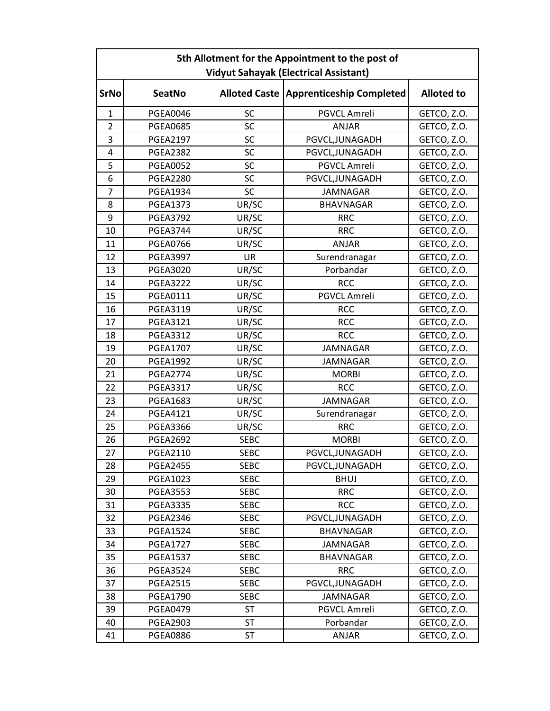| 5th Allotment for the Appointment to the post of |                 |             |                                          |                   |  |  |  |
|--------------------------------------------------|-----------------|-------------|------------------------------------------|-------------------|--|--|--|
| <b>Vidyut Sahayak (Electrical Assistant)</b>     |                 |             |                                          |                   |  |  |  |
| <b>SrNo</b>                                      | <b>SeatNo</b>   |             | Alloted Caste   Apprenticeship Completed | <b>Alloted to</b> |  |  |  |
| $\mathbf{1}$                                     | <b>PGEA0046</b> | SC          | PGVCL Amreli                             | GETCO, Z.O.       |  |  |  |
| $\overline{2}$                                   | <b>PGEA0685</b> | SC          | <b>ANJAR</b>                             | GETCO, Z.O.       |  |  |  |
| 3                                                | <b>PGEA2197</b> | SC          | PGVCL, JUNAGADH                          | GETCO, Z.O.       |  |  |  |
| 4                                                | <b>PGEA2382</b> | SC          | PGVCL, JUNAGADH                          | GETCO, Z.O.       |  |  |  |
| 5                                                | <b>PGEA0052</b> | SC          | PGVCL Amreli                             | GETCO, Z.O.       |  |  |  |
| 6                                                | <b>PGEA2280</b> | SC          | PGVCL, JUNAGADH                          | GETCO, Z.O.       |  |  |  |
| 7                                                | <b>PGEA1934</b> | SC          | <b>JAMNAGAR</b>                          | GETCO, Z.O.       |  |  |  |
| 8                                                | <b>PGEA1373</b> | UR/SC       | <b>BHAVNAGAR</b>                         | GETCO, Z.O.       |  |  |  |
| 9                                                | <b>PGEA3792</b> | UR/SC       | <b>RRC</b>                               | GETCO, Z.O.       |  |  |  |
| 10                                               | <b>PGEA3744</b> | UR/SC       | <b>RRC</b>                               | GETCO, Z.O.       |  |  |  |
| 11                                               | <b>PGEA0766</b> | UR/SC       | <b>ANJAR</b>                             | GETCO, Z.O.       |  |  |  |
| 12                                               | <b>PGEA3997</b> | <b>UR</b>   | Surendranagar                            | GETCO, Z.O.       |  |  |  |
| 13                                               | <b>PGEA3020</b> | UR/SC       | Porbandar                                | GETCO, Z.O.       |  |  |  |
| 14                                               | <b>PGEA3222</b> | UR/SC       | <b>RCC</b>                               | GETCO, Z.O.       |  |  |  |
| 15                                               | <b>PGEA0111</b> | UR/SC       | PGVCL Amreli                             | GETCO, Z.O.       |  |  |  |
| 16                                               | <b>PGEA3119</b> | UR/SC       | <b>RCC</b>                               | GETCO, Z.O.       |  |  |  |
| 17                                               | <b>PGEA3121</b> | UR/SC       | <b>RCC</b>                               | GETCO, Z.O.       |  |  |  |
| 18                                               | <b>PGEA3312</b> | UR/SC       | <b>RCC</b>                               | GETCO, Z.O.       |  |  |  |
| 19                                               | <b>PGEA1707</b> | UR/SC       | <b>JAMNAGAR</b>                          | GETCO, Z.O.       |  |  |  |
| 20                                               | <b>PGEA1992</b> | UR/SC       | <b>JAMNAGAR</b>                          | GETCO, Z.O.       |  |  |  |
| 21                                               | <b>PGEA2774</b> | UR/SC       | <b>MORBI</b>                             | GETCO, Z.O.       |  |  |  |
| 22                                               | <b>PGEA3317</b> | UR/SC       | <b>RCC</b>                               | GETCO, Z.O.       |  |  |  |
| 23                                               | PGEA1683        | UR/SC       | <b>JAMNAGAR</b>                          | GETCO, Z.O.       |  |  |  |
| 24                                               | <b>PGEA4121</b> | UR/SC       | Surendranagar                            | GETCO, Z.O.       |  |  |  |
| 25                                               | <b>PGEA3366</b> | UR/SC       | <b>RRC</b>                               | GETCO, Z.O.       |  |  |  |
| 26                                               | <b>PGEA2692</b> | <b>SEBC</b> | <b>MORBI</b>                             | GETCO, Z.O.       |  |  |  |
| 27                                               | <b>PGEA2110</b> | <b>SEBC</b> | PGVCL, JUNAGADH                          | GETCO, Z.O.       |  |  |  |
| 28                                               | <b>PGEA2455</b> | <b>SEBC</b> | PGVCL, JUNAGADH                          | GETCO, Z.O.       |  |  |  |
| 29                                               | <b>PGEA1023</b> | <b>SEBC</b> | <b>BHUJ</b>                              | GETCO, Z.O.       |  |  |  |
| 30                                               | <b>PGEA3553</b> | <b>SEBC</b> | <b>RRC</b>                               | GETCO, Z.O.       |  |  |  |
| 31                                               | <b>PGEA3335</b> | <b>SEBC</b> | <b>RCC</b>                               | GETCO, Z.O.       |  |  |  |
| 32                                               | <b>PGEA2346</b> | <b>SEBC</b> | PGVCL, JUNAGADH                          | GETCO, Z.O.       |  |  |  |
| 33                                               | <b>PGEA1524</b> | <b>SEBC</b> | <b>BHAVNAGAR</b>                         | GETCO, Z.O.       |  |  |  |
| 34                                               | <b>PGEA1727</b> | <b>SEBC</b> | <b>JAMNAGAR</b>                          | GETCO, Z.O.       |  |  |  |
| 35                                               | <b>PGEA1537</b> | <b>SEBC</b> | <b>BHAVNAGAR</b>                         | GETCO, Z.O.       |  |  |  |
| 36                                               | <b>PGEA3524</b> | <b>SEBC</b> | <b>RRC</b>                               | GETCO, Z.O.       |  |  |  |
| 37                                               | <b>PGEA2515</b> | <b>SEBC</b> | PGVCL, JUNAGADH                          | GETCO, Z.O.       |  |  |  |
| 38                                               | <b>PGEA1790</b> | <b>SEBC</b> | <b>JAMNAGAR</b>                          | GETCO, Z.O.       |  |  |  |
| 39                                               | <b>PGEA0479</b> | ST          | PGVCL Amreli                             | GETCO, Z.O.       |  |  |  |
| 40                                               | <b>PGEA2903</b> | <b>ST</b>   | Porbandar                                | GETCO, Z.O.       |  |  |  |
| 41                                               | <b>PGEA0886</b> | ST          | ANJAR                                    | GETCO, Z.O.       |  |  |  |